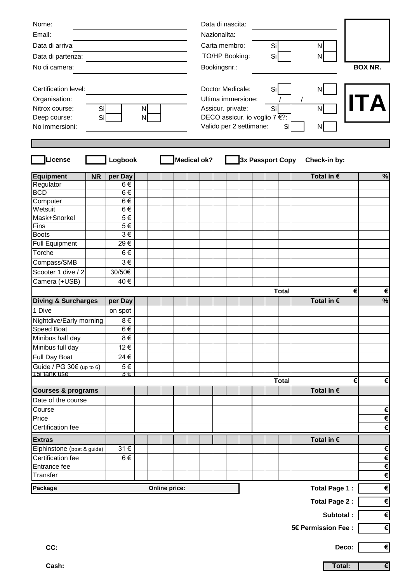| Nome:                           |           |                    |  |  |  |                         | Data di nascita:                             |                               |                         |                      |            |                       |                  |                     |                     |            |                       |
|---------------------------------|-----------|--------------------|--|--|--|-------------------------|----------------------------------------------|-------------------------------|-------------------------|----------------------|------------|-----------------------|------------------|---------------------|---------------------|------------|-----------------------|
| Email:                          |           |                    |  |  |  |                         | Nazionalita:                                 |                               |                         |                      |            |                       |                  |                     |                     |            |                       |
| Data di arriva:                 |           |                    |  |  |  |                         | Carta membro:                                |                               |                         |                      |            | Si                    |                  |                     | N                   |            |                       |
| Data di partenza:               |           |                    |  |  |  |                         |                                              |                               | TO/HP Booking:          |                      |            | Si                    |                  |                     | N                   |            |                       |
| No di camera:                   |           |                    |  |  |  |                         |                                              |                               | Bookingsnr.:            |                      |            |                       |                  |                     |                     |            | <b>BOX NR.</b>        |
|                                 |           |                    |  |  |  |                         |                                              |                               |                         |                      |            |                       |                  |                     |                     |            |                       |
| Certification level:            |           |                    |  |  |  |                         |                                              |                               |                         |                      |            | Si                    |                  |                     |                     |            |                       |
| Organisation:                   |           |                    |  |  |  |                         | Doctor Medicale:<br>N.<br>Ultima immersione: |                               |                         |                      |            |                       |                  |                     |                     |            |                       |
| Nitrox course:<br>Si<br>N       |           |                    |  |  |  | Assicur. private:<br>Si |                                              |                               |                         |                      |            |                       |                  | N                   |                     |            |                       |
| Deep course:<br>Si<br>N         |           |                    |  |  |  |                         |                                              | DECO assicur. io voglio 7 €?: |                         |                      |            |                       |                  |                     |                     |            |                       |
| No immersioni:                  |           |                    |  |  |  |                         |                                              |                               | Valido per 2 settimane: |                      |            | Si                    |                  | N                   |                     |            |                       |
|                                 |           |                    |  |  |  |                         |                                              |                               |                         |                      |            |                       |                  |                     |                     |            |                       |
|                                 |           |                    |  |  |  |                         |                                              |                               |                         |                      |            |                       |                  |                     |                     |            |                       |
| License                         |           | Logbook            |  |  |  |                         | <b>Medical ok?</b>                           |                               |                         |                      |            |                       | 3x Passport Copy |                     | Check-in by:        |            |                       |
|                                 |           |                    |  |  |  |                         |                                              |                               |                         |                      |            |                       |                  |                     |                     |            |                       |
| Equipment                       | <b>NR</b> | per Day            |  |  |  |                         |                                              |                               |                         |                      |            |                       |                  |                     | Total in $\epsilon$ |            | $\%$                  |
| Regulator                       |           | 6€                 |  |  |  |                         |                                              |                               |                         |                      |            |                       |                  |                     |                     |            |                       |
| <b>BCD</b>                      |           | $6 \in$<br>$6 \in$ |  |  |  |                         |                                              |                               |                         |                      |            |                       |                  |                     |                     |            |                       |
| Computer<br>Wetsuit             |           | $6 \in$            |  |  |  |                         |                                              |                               |                         |                      |            |                       |                  |                     |                     |            |                       |
| Mask+Snorkel                    |           | $5 \in$            |  |  |  |                         |                                              |                               |                         |                      |            |                       |                  |                     |                     |            |                       |
| Fins                            |           | $5 \in$            |  |  |  |                         |                                              |                               |                         |                      |            |                       |                  |                     |                     |            |                       |
| <b>Boots</b>                    |           | $3 \in$            |  |  |  |                         |                                              |                               |                         |                      |            |                       |                  |                     |                     |            |                       |
| <b>Full Equipment</b>           |           | 29€                |  |  |  |                         |                                              |                               |                         |                      |            |                       |                  |                     |                     |            |                       |
| Torche                          |           | $6 \in$            |  |  |  |                         |                                              |                               |                         |                      |            |                       |                  |                     |                     |            |                       |
| Compass/SMB                     |           | $3 \in$            |  |  |  |                         |                                              |                               |                         |                      |            |                       |                  |                     |                     |            |                       |
| Scooter 1 dive / 2              |           | 30/50€             |  |  |  |                         |                                              |                               |                         |                      |            |                       |                  |                     |                     |            |                       |
| Camera (+USB)                   |           | 40€                |  |  |  |                         |                                              |                               |                         |                      |            |                       |                  |                     |                     |            |                       |
|                                 |           |                    |  |  |  |                         |                                              |                               |                         |                      |            |                       | <b>Total</b>     |                     |                     | €          | €                     |
| <b>Diving &amp; Surcharges</b>  | per Day   |                    |  |  |  |                         |                                              |                               |                         |                      | Total in € | %                     |                  |                     |                     |            |                       |
| 1 Dive                          |           | on spot            |  |  |  |                         |                                              |                               |                         |                      |            |                       |                  |                     |                     |            |                       |
| Nightdive/Early morning         |           | $8 \in$            |  |  |  |                         |                                              |                               |                         |                      |            |                       |                  |                     |                     |            |                       |
| Speed Boat                      |           | $6 \in$            |  |  |  |                         |                                              |                               |                         |                      |            |                       |                  |                     |                     |            |                       |
| Minibus half day                |           | $8 \in$            |  |  |  |                         |                                              |                               |                         |                      |            |                       |                  |                     |                     |            |                       |
| Minibus full day                |           | 12€                |  |  |  |                         |                                              |                               |                         |                      |            |                       |                  |                     |                     |            |                       |
| <b>Full Day Boat</b>            |           | 24 €               |  |  |  |                         |                                              |                               |                         |                      |            |                       |                  |                     |                     |            |                       |
| Guide / $PG 30€$ (up to 6)      |           | $5 \in$            |  |  |  |                         |                                              |                               |                         |                      |            |                       |                  |                     |                     |            |                       |
| 15I tank use                    |           | $3 \epsilon$       |  |  |  |                         |                                              |                               |                         |                      |            |                       |                  |                     |                     |            |                       |
|                                 |           |                    |  |  |  |                         |                                              |                               |                         |                      |            |                       | <b>Total</b>     |                     |                     | €          | €                     |
| <b>Courses &amp; programs</b>   |           |                    |  |  |  |                         |                                              |                               |                         |                      |            |                       |                  |                     | Total in $\epsilon$ |            |                       |
| Date of the course              |           |                    |  |  |  |                         |                                              |                               |                         |                      |            |                       |                  |                     |                     |            |                       |
| Course                          |           |                    |  |  |  |                         |                                              |                               |                         |                      |            |                       |                  |                     |                     |            | €                     |
| Price                           |           |                    |  |  |  |                         |                                              |                               |                         |                      |            |                       |                  |                     |                     |            | €                     |
| Certification fee               |           |                    |  |  |  |                         |                                              |                               |                         |                      |            |                       |                  |                     |                     |            | €                     |
| <b>Extras</b>                   |           |                    |  |  |  |                         |                                              |                               |                         |                      |            |                       |                  |                     | Total in $\epsilon$ |            |                       |
| Elphinstone (boat & guide)      |           | $31 \in$           |  |  |  |                         |                                              |                               |                         |                      |            |                       |                  |                     |                     |            | $\pmb{\epsilon}$      |
| Certification fee               |           | $6 \in$            |  |  |  |                         |                                              |                               |                         |                      |            |                       |                  |                     |                     |            | $\epsilon$            |
| Entrance fee                    |           |                    |  |  |  |                         |                                              |                               |                         |                      |            |                       |                  |                     |                     |            | $\overline{\epsilon}$ |
| Transfer                        |           |                    |  |  |  |                         |                                              |                               |                         |                      |            |                       |                  |                     |                     |            | $\epsilon$            |
| Package<br><b>Online price:</b> |           |                    |  |  |  |                         |                                              |                               |                         |                      |            |                       |                  |                     | Total Page 1:       |            | $\overline{\epsilon}$ |
|                                 |           |                    |  |  |  |                         |                                              |                               |                         | <b>Total Page 2:</b> |            | $\overline{\epsilon}$ |                  |                     |                     |            |                       |
|                                 |           |                    |  |  |  |                         |                                              |                               |                         |                      |            |                       |                  |                     |                     |            |                       |
|                                 |           |                    |  |  |  |                         |                                              |                               |                         |                      | Subtotal:  |                       |                  |                     |                     |            | $\epsilon$            |
|                                 |           |                    |  |  |  |                         |                                              |                               |                         |                      |            |                       |                  | 5€ Permission Fee : |                     | $\epsilon$ |                       |
|                                 |           |                    |  |  |  |                         |                                              |                               |                         |                      |            |                       |                  |                     |                     |            |                       |
| CC:                             |           |                    |  |  |  |                         |                                              |                               |                         |                      |            |                       |                  |                     |                     | Deco:      | $\epsilon$            |
|                                 |           |                    |  |  |  |                         |                                              |                               |                         |                      |            |                       |                  |                     |                     |            |                       |
| Cash:                           |           |                    |  |  |  |                         |                                              |                               |                         |                      |            |                       |                  |                     | Total:              |            | $\overline{\epsilon}$ |